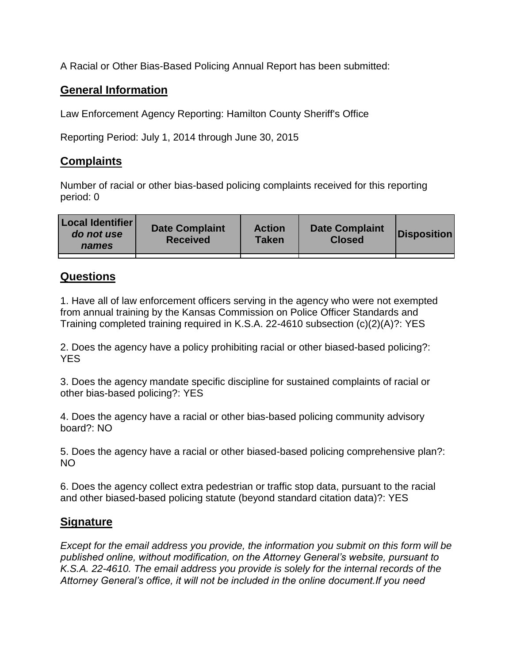A Racial or Other Bias-Based Policing Annual Report has been submitted:

## **General Information**

Law Enforcement Agency Reporting: Hamilton County Sheriff's Office

Reporting Period: July 1, 2014 through June 30, 2015

## **Complaints**

Number of racial or other bias-based policing complaints received for this reporting period: 0

| <b>Local Identifier</b><br>do not use<br>names | <b>Date Complaint</b><br><b>Received</b> | <b>Action</b><br><b>Taken</b> | <b>Date Complaint</b><br><b>Closed</b> | Disposition |
|------------------------------------------------|------------------------------------------|-------------------------------|----------------------------------------|-------------|
|                                                |                                          |                               |                                        |             |

## **Questions**

1. Have all of law enforcement officers serving in the agency who were not exempted from annual training by the Kansas Commission on Police Officer Standards and Training completed training required in K.S.A. 22-4610 subsection (c)(2)(A)?: YES

2. Does the agency have a policy prohibiting racial or other biased-based policing?: YES

3. Does the agency mandate specific discipline for sustained complaints of racial or other bias-based policing?: YES

4. Does the agency have a racial or other bias-based policing community advisory board?: NO

5. Does the agency have a racial or other biased-based policing comprehensive plan?: NO

6. Does the agency collect extra pedestrian or traffic stop data, pursuant to the racial and other biased-based policing statute (beyond standard citation data)?: YES

## **Signature**

*Except for the email address you provide, the information you submit on this form will be published online, without modification, on the Attorney General's website, pursuant to K.S.A. 22-4610. The email address you provide is solely for the internal records of the Attorney General's office, it will not be included in the online document.If you need*